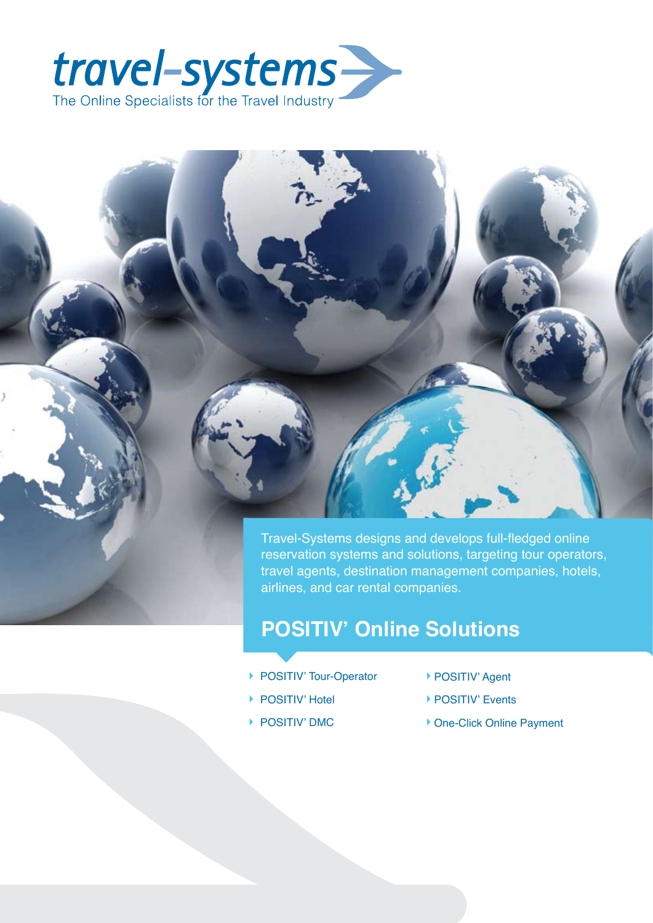



## **POSITIV' Online Solutions**

- ▶ POSITIV' Tour-Operator
- ▶ POSITIV' Hotel
- ▶ POSITIV' DMC
- ▶ POSITIV' Agent
- ▶ POSITIV' Events
- ▶ One-Click Online Payment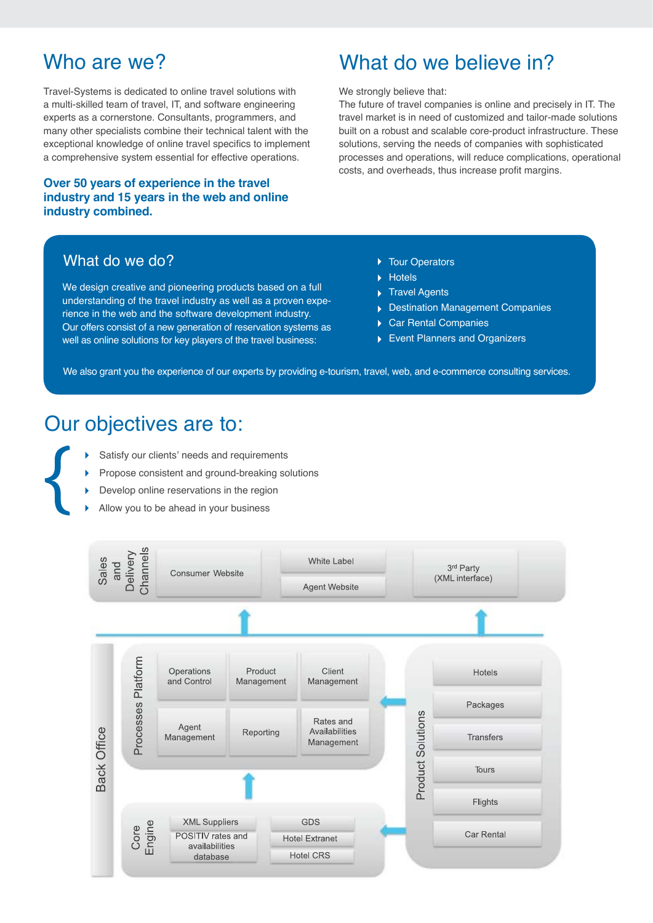## Who are we?

Travel-Systems is dedicated to online travel solutions with a multi-skilled team of travel, IT, and software engineering experts as a cornerstone. Consultants, programmers, and many other specialists combine their technical talent with the exceptional knowledge of online travel specifics to implement a comprehensive system essential for effective operations.

### **Over 50 years of experience in the travel industry and 15 years in the web and online industry combined.**

## What do we do?

We design creative and pioneering products based on a full understanding of the travel industry as well as a proven experience in the web and the software development industry. Our offers consist of a new generation of reservation systems as well as online solutions for key players of the travel business:

## What do we believe in?

We strongly believe that:

The future of travel companies is online and precisely in IT. The travel market is in need of customized and tailor-made solutions built on a robust and scalable core-product infrastructure. These solutions, serving the needs of companies with sophisticated processes and operations, will reduce complications, operational costs, and overheads, thus increase profit margins.

- ▶ Tour Operators
- Hotels
- ▶ Travel Agents
- Destination Management Companies
- ▶ Car Rental Companies
- Event Planners and Organizers

We also grant you the experience of our experts by providing e-tourism, travel, web, and e-commerce consulting services.

## Our objectives are to:

- Satisfy our clients' needs and requirements
- Propose consistent and ground-breaking solutions
- Develop online reservations in the region
- Allow you to be ahead in your business

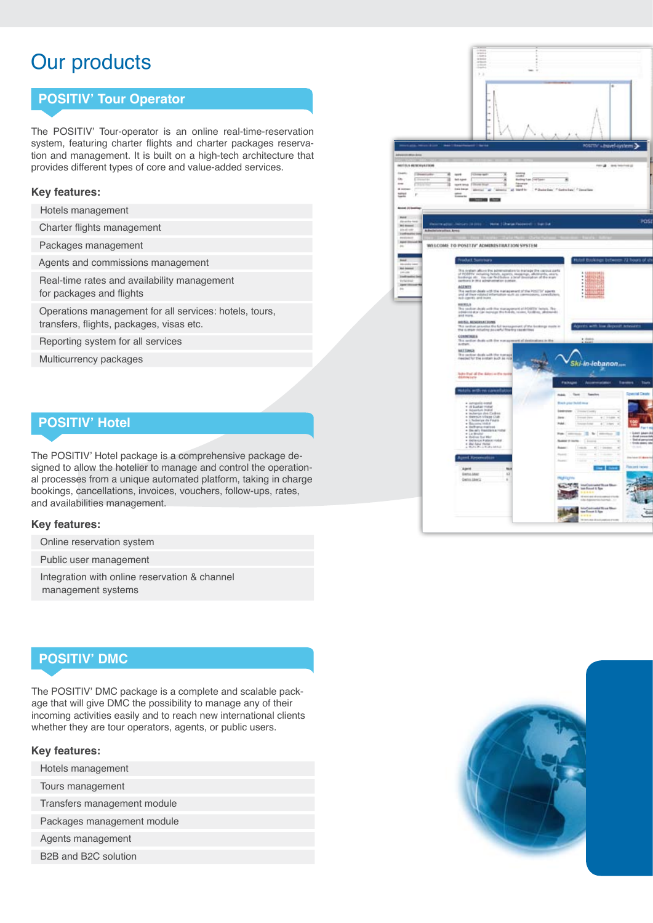# Our products

### **POSITIV' Tour Operator**

The POSITIV' Tour-operator is an online real-time-reservation system, featuring charter flights and charter packages reservation and management. It is built on a high-tech architecture that provides different types of core and value-added services.

#### **Key features:**

Hotels management

Charter flights management

Packages management

Agents and commissions management

 Real-time rates and availability management for packages and flights

 Operations management for all services: hotels, tours, transfers, flights, packages, visas etc.

Reporting system for all services

Multicurrency packages

### **POSITIV' Hotel**

The POSITIV' Hotel package is a comprehensive package designed to allow the hotelier to manage and control the operational processes from a unique automated platform, taking in charge bookings, cancellations, invoices, vouchers, follow-ups, rates, and availabilities management.

#### **Key features:**

Online reservation system

Public user management

 Integration with online reservation & channel management systems

### **POSITIV' DMC**

The POSITIV' DMC package is a complete and scalable package that will give DMC the possibility to manage any of their incoming activities easily and to reach new international clients whether they are tour operators, agents, or public users.

#### **Key features:**

Hotels management

Tours management

Transfers management module

Packages management module

Agents management

B2B and B2C solution



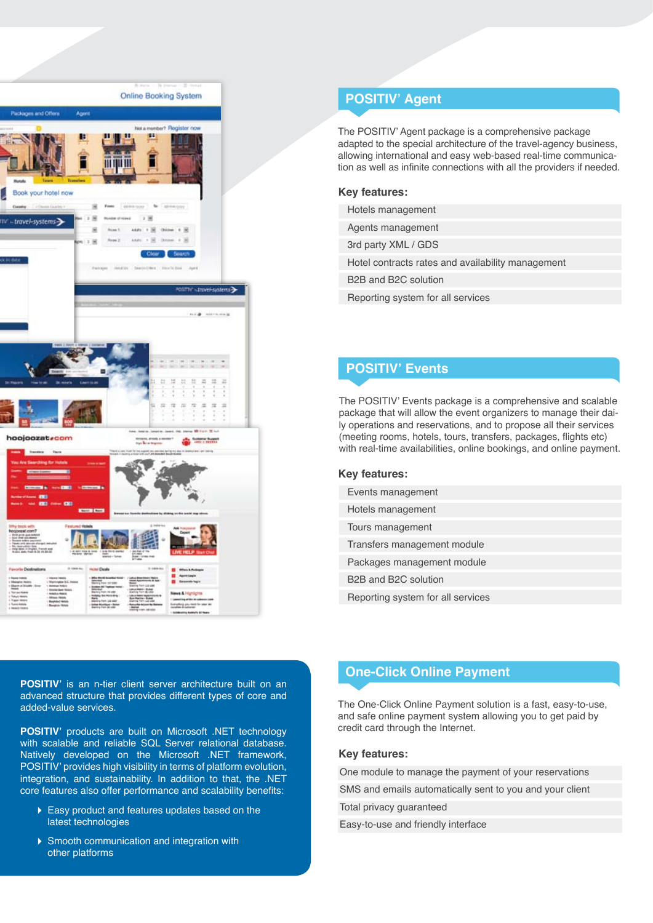

## **POSITIV' Agent**

The POSITIV' Agent package is a comprehensive package adapted to the special architecture of the travel-agency business, allowing international and easy web-based real-time communication as well as infinite connections with all the providers if needed.

#### **Key features:**

- Hotels management
- Agents management

3rd party XML / GDS

Hotel contracts rates and availability management

B2B and B2C solution

Reporting system for all services

### **POSITIV' Events**

The POSITIV' Events package is a comprehensive and scalable package that will allow the event organizers to manage their daily operations and reservations, and to propose all their services (meeting rooms, hotels, tours, transfers, packages, flights etc) with real-time availabilities, online bookings, and online payment.

#### **Key features:**

| Events management                 |  |
|-----------------------------------|--|
| Hotels management                 |  |
| Tours management                  |  |
| Transfers management module       |  |
| Packages management module        |  |
| B2B and B2C solution              |  |
| Reporting system for all services |  |

**POSITIV'** is an n-tier client server architecture built on an advanced structure that provides different types of core and added-value services.

**POSITIV'** products are built on Microsoft .NET technology with scalable and reliable SQL Server relational database. Natively developed on the Microsoft .NET framework, POSITIV' provides high visibility in terms of platform evolution, integration, and sustainability. In addition to that, the .NET core features also offer performance and scalability benefits:

- Easy product and features updates based on the latest technologies
- ▶ Smooth communication and integration with other platforms

### **One-Click Online Payment**

The One-Click Online Payment solution is a fast, easy-to-use, and safe online payment system allowing you to get paid by credit card through the Internet.

#### K**Key features:**

One module to manage the payment of your reservations

SMS and emails automatically sent to you and your client

Total privacy guaranteed

Easy-to-use and friendly interface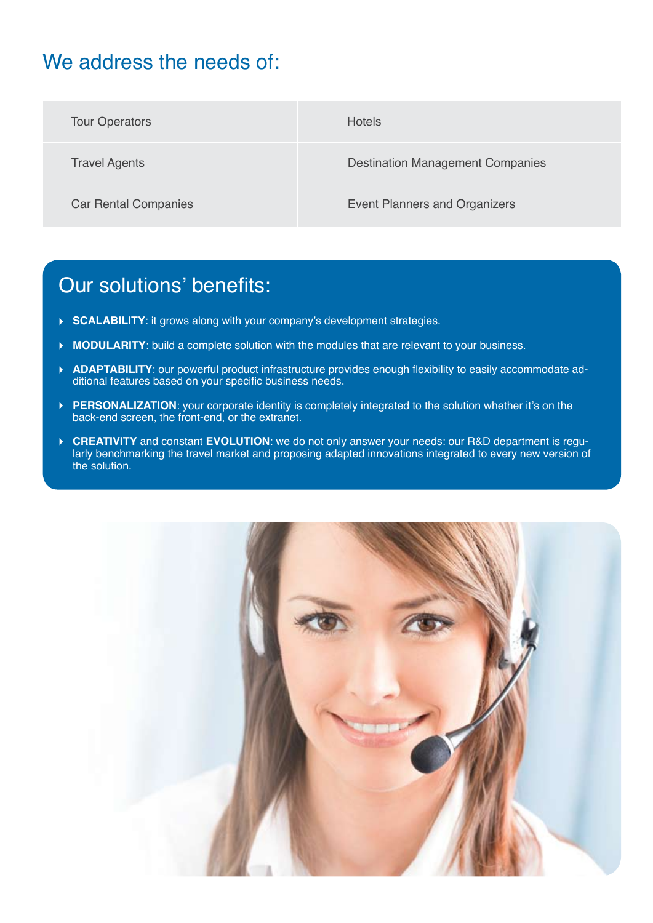# We address the needs of:

| <b>Tour Operators</b>       | <b>Hotels</b>                           |
|-----------------------------|-----------------------------------------|
| <b>Travel Agents</b>        | <b>Destination Management Companies</b> |
| <b>Car Rental Companies</b> | <b>Event Planners and Organizers</b>    |

## Our solutions' benefits:

- ▶ **SCALABILITY**: it grows along with your company's development strategies.
- **MODULARITY:** build a complete solution with the modules that are relevant to your business.
- **ADAPTABILITY**: our powerful product infrastructure provides enough flexibility to easily accommodate ad- $\blacktriangleright$ ditional features based on your specific business needs.
- **PERSONALIZATION**: your corporate identity is completely integrated to the solution whether it's on the back-end screen, the front-end, or the extranet.
- **CREATIVITY** and constant **EVOLUTION**: we do not only answer your needs: our R&D department is regularly benchmarking the travel market and proposing adapted innovations integrated to every new version of the solution.